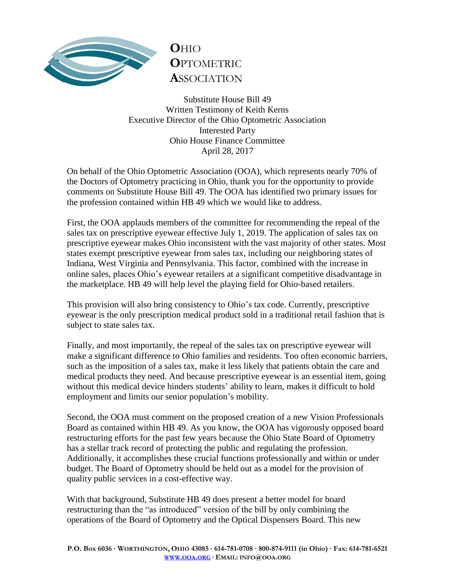

## **O**HIO **O**PTOMETRIC **A**SSOCIATION

Substitute House Bill 49 Written Testimony of Keith Kerns Executive Director of the Ohio Optometric Association Interested Party Ohio House Finance Committee April 28, 2017

On behalf of the Ohio Optometric Association (OOA), which represents nearly 70% of the Doctors of Optometry practicing in Ohio, thank you for the opportunity to provide comments on Substitute House Bill 49. The OOA has identified two primary issues for the profession contained within HB 49 which we would like to address.

First, the OOA applauds members of the committee for recommending the repeal of the sales tax on prescriptive eyewear effective July 1, 2019. The application of sales tax on prescriptive eyewear makes Ohio inconsistent with the vast majority of other states. Most states exempt prescriptive eyewear from sales tax, including our neighboring states of Indiana, West Virginia and Pennsylvania. This factor, combined with the increase in online sales, places Ohio's eyewear retailers at a significant competitive disadvantage in the marketplace. HB 49 will help level the playing field for Ohio-based retailers.

This provision will also bring consistency to Ohio's tax code. Currently, prescriptive eyewear is the only prescription medical product sold in a traditional retail fashion that is subject to state sales tax.

Finally, and most importantly, the repeal of the sales tax on prescriptive eyewear will make a significant difference to Ohio families and residents. Too often economic barriers, such as the imposition of a sales tax, make it less likely that patients obtain the care and medical products they need. And because prescriptive eyewear is an essential item, going without this medical device hinders students' ability to learn, makes it difficult to hold employment and limits our senior population's mobility.

Second, the OOA must comment on the proposed creation of a new Vision Professionals Board as contained within HB 49. As you know, the OOA has vigorously opposed board restructuring efforts for the past few years because the Ohio State Board of Optometry has a stellar track record of protecting the public and regulating the profession. Additionally, it accomplishes these crucial functions professionally and within or under budget. The Board of Optometry should be held out as a model for the provision of quality public services in a cost-effective way.

With that background, Substitute HB 49 does present a better model for board restructuring than the "as introduced" version of the bill by only combining the operations of the Board of Optometry and the Optical Dispensers Board. This new